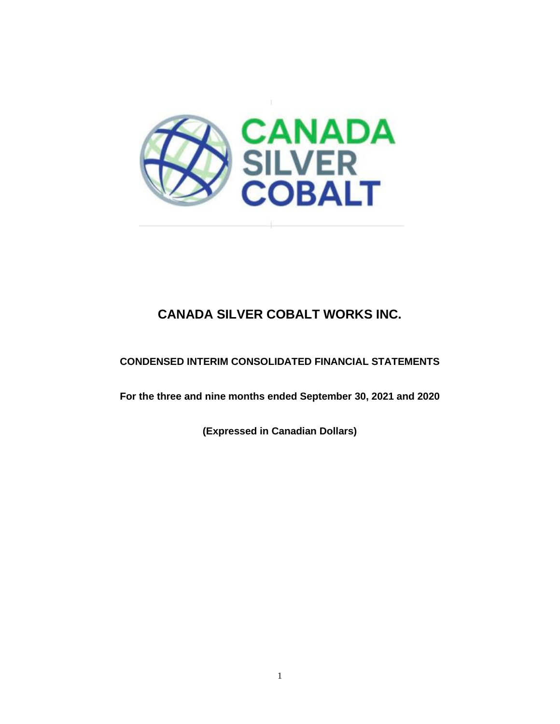

# **CONDENSED INTERIM CONSOLIDATED FINANCIAL STATEMENTS**

**For the three and nine months ended September 30, 2021 and 2020**

**(Expressed in Canadian Dollars)**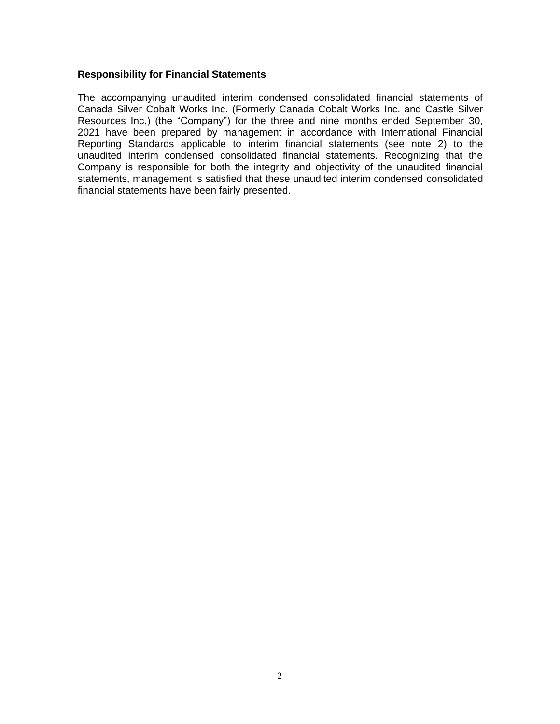#### **Responsibility for Financial Statements**

The accompanying unaudited interim condensed consolidated financial statements of Canada Silver Cobalt Works Inc. (Formerly Canada Cobalt Works Inc. and Castle Silver Resources Inc.) (the "Company") for the three and nine months ended September 30, 2021 have been prepared by management in accordance with International Financial Reporting Standards applicable to interim financial statements (see note 2) to the unaudited interim condensed consolidated financial statements. Recognizing that the Company is responsible for both the integrity and objectivity of the unaudited financial statements, management is satisfied that these unaudited interim condensed consolidated financial statements have been fairly presented.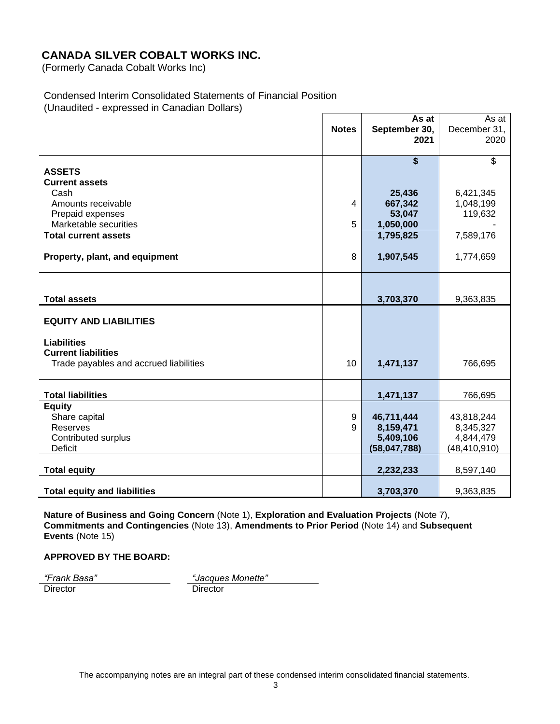(Formerly Canada Cobalt Works Inc)

#### Condensed Interim Consolidated Statements of Financial Position (Unaudited - expressed in Canadian Dollars)

|                                        | <b>Notes</b> | As at<br>September 30,<br>2021 | As at<br>December 31,<br>2020 |
|----------------------------------------|--------------|--------------------------------|-------------------------------|
|                                        |              | \$                             | $\overline{\mathcal{S}}$      |
| <b>ASSETS</b><br><b>Current assets</b> |              |                                |                               |
| Cash                                   |              | 25,436                         | 6,421,345                     |
| Amounts receivable                     | 4            | 667,342                        | 1,048,199                     |
| Prepaid expenses                       |              | 53,047                         | 119,632                       |
| Marketable securities                  | 5            | 1,050,000                      |                               |
| <b>Total current assets</b>            |              | 1,795,825                      | 7,589,176                     |
| Property, plant, and equipment         | 8            | 1,907,545                      | 1,774,659                     |
|                                        |              |                                |                               |
| <b>Total assets</b>                    |              | 3,703,370                      | 9,363,835                     |
| <b>EQUITY AND LIABILITIES</b>          |              |                                |                               |
| <b>Liabilities</b>                     |              |                                |                               |
| <b>Current liabilities</b>             |              |                                |                               |
| Trade payables and accrued liabilities | 10           | 1,471,137                      | 766,695                       |
|                                        |              |                                |                               |
| <b>Total liabilities</b>               |              | 1,471,137                      | 766,695                       |
| <b>Equity</b><br>Share capital         | 9            | 46,711,444                     | 43,818,244                    |
| Reserves                               | 9            | 8,159,471                      | 8,345,327                     |
| Contributed surplus                    |              | 5,409,106                      | 4,844,479                     |
| <b>Deficit</b>                         |              | (58,047,788)                   | (48, 410, 910)                |
|                                        |              |                                |                               |
| <b>Total equity</b>                    |              | 2,232,233                      | 8,597,140                     |
| <b>Total equity and liabilities</b>    |              | 3,703,370                      | 9,363,835                     |

**Nature of Business and Going Concern** (Note 1), **Exploration and Evaluation Projects** (Note 7), **Commitments and Contingencies** (Note 13), **Amendments to Prior Period** (Note 14) and **Subsequent Events** (Note 15)

#### **APPROVED BY THE BOARD:**

Director Director Director

*"Frank Basa" "Jacques Monette"*

The accompanying notes are an integral part of these condensed interim consolidated financial statements.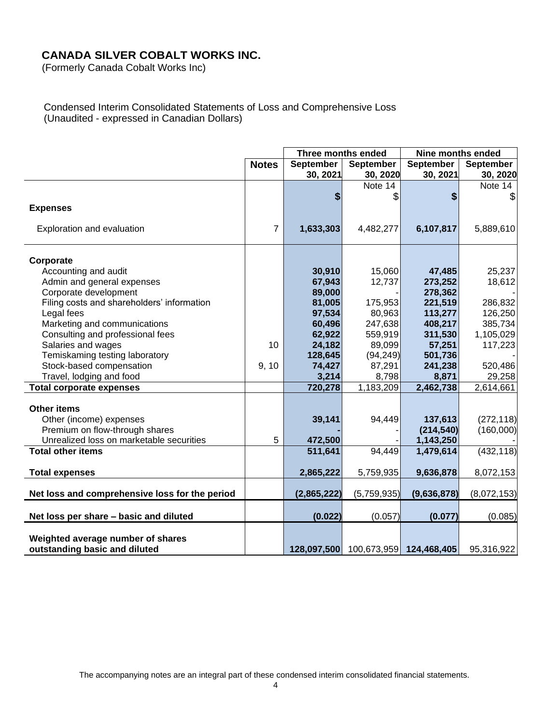(Formerly Canada Cobalt Works Inc)

Condensed Interim Consolidated Statements of Loss and Comprehensive Loss (Unaudited - expressed in Canadian Dollars)

|                                                |                | Three months ended |                                     | <b>Nine months ended</b> |                  |  |
|------------------------------------------------|----------------|--------------------|-------------------------------------|--------------------------|------------------|--|
|                                                | <b>Notes</b>   | <b>September</b>   | <b>September</b>                    | <b>September</b>         | <b>September</b> |  |
|                                                |                | 30, 2021           | 30, 2020                            | 30, 2021                 | 30, 2020         |  |
|                                                |                |                    | Note 14                             |                          | Note 14          |  |
|                                                |                | \$                 | \$                                  | S                        |                  |  |
| <b>Expenses</b>                                |                |                    |                                     |                          |                  |  |
| Exploration and evaluation                     | $\overline{7}$ | 1,633,303          | 4,482,277                           | 6,107,817                | 5,889,610        |  |
| Corporate                                      |                |                    |                                     |                          |                  |  |
| Accounting and audit                           |                | 30,910             | 15,060                              | 47,485                   | 25,237           |  |
| Admin and general expenses                     |                | 67,943             | 12,737                              | 273,252                  | 18,612           |  |
| Corporate development                          |                | 89,000             |                                     | 278,362                  |                  |  |
| Filing costs and shareholders' information     |                | 81,005             | 175,953                             | 221,519                  | 286,832          |  |
| Legal fees                                     |                | 97,534             | 80,963                              | 113,277                  | 126,250          |  |
| Marketing and communications                   |                | 60,496             | 247,638                             | 408,217                  | 385,734          |  |
| Consulting and professional fees               |                | 62,922             | 559,919                             | 311,530                  | 1,105,029        |  |
| Salaries and wages                             | 10             | 24,182             | 89,099                              | 57,251                   | 117,223          |  |
| Temiskaming testing laboratory                 |                | 128,645            | (94, 249)                           | 501,736                  |                  |  |
| Stock-based compensation                       | 9, 10          | 74,427             | 87,291                              | 241,238                  | 520,486          |  |
| Travel, lodging and food                       |                | 3,214              | 8,798                               | 8,871                    | 29,258           |  |
| <b>Total corporate expenses</b>                |                | 720,278            | 1,183,209                           | 2,462,738                | 2,614,661        |  |
| <b>Other items</b>                             |                |                    |                                     |                          |                  |  |
| Other (income) expenses                        |                | 39,141             | 94,449                              | 137,613                  | (272, 118)       |  |
| Premium on flow-through shares                 |                |                    |                                     | (214, 540)               | (160,000)        |  |
| Unrealized loss on marketable securities       | 5              | 472,500            |                                     | 1,143,250                |                  |  |
| <b>Total other items</b>                       |                | 511,641            | 94,449                              | 1,479,614                | (432, 118)       |  |
| <b>Total expenses</b>                          |                | 2,865,222          | 5,759,935                           | 9,636,878                | 8,072,153        |  |
| Net loss and comprehensive loss for the period |                | (2,865,222)        | (5,759,935)                         | (9,636,878)              | (8,072,153)      |  |
|                                                |                |                    |                                     |                          |                  |  |
| Net loss per share - basic and diluted         |                | (0.022)            | (0.057)                             | (0.077)                  | (0.085)          |  |
| Weighted average number of shares              |                |                    |                                     |                          |                  |  |
| outstanding basic and diluted                  |                |                    | 128,097,500 100,673,959 124,468,405 |                          | 95,316,922       |  |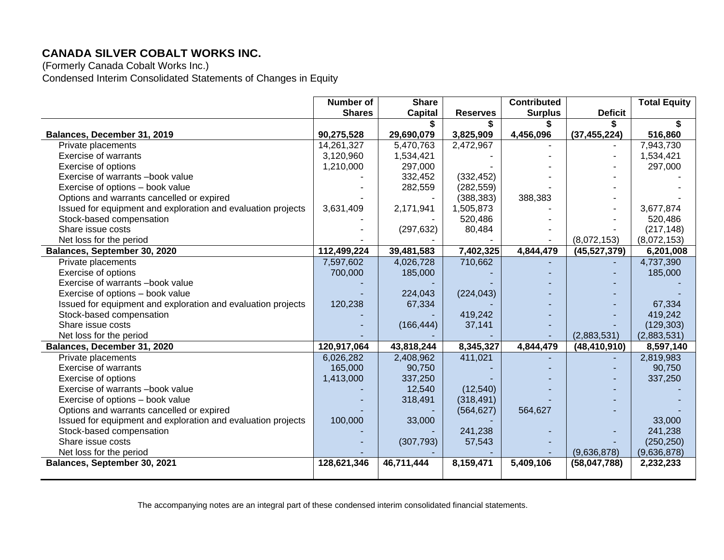(Formerly Canada Cobalt Works Inc.) Condensed Interim Consolidated Statements of Changes in Equity

|                                                              | Number of     | <b>Share</b>   |                 | <b>Contributed</b> |                | <b>Total Equity</b> |
|--------------------------------------------------------------|---------------|----------------|-----------------|--------------------|----------------|---------------------|
|                                                              | <b>Shares</b> | <b>Capital</b> | <b>Reserves</b> | <b>Surplus</b>     | <b>Deficit</b> |                     |
|                                                              |               |                |                 |                    | \$             |                     |
| Balances, December 31, 2019                                  | 90,275,528    | 29,690,079     | 3,825,909       | 4,456,096          | (37, 455, 224) | 516,860             |
| Private placements                                           | 14,261,327    | 5,470,763      | 2,472,967       |                    |                | 7,943,730           |
| <b>Exercise of warrants</b>                                  | 3,120,960     | 1,534,421      |                 |                    |                | 1,534,421           |
| Exercise of options                                          | 1,210,000     | 297,000        |                 |                    |                | 297,000             |
| Exercise of warrants -book value                             |               | 332,452        | (332, 452)      |                    |                |                     |
| Exercise of options - book value                             |               | 282,559        | (282, 559)      |                    |                |                     |
| Options and warrants cancelled or expired                    |               |                | (388, 383)      | 388,383            |                |                     |
| Issued for equipment and exploration and evaluation projects | 3,631,409     | 2,171,941      | 1,505,873       |                    |                | 3,677,874           |
| Stock-based compensation                                     |               |                | 520,486         |                    |                | 520,486             |
| Share issue costs                                            |               | (297, 632)     | 80,484          |                    |                | (217, 148)          |
| Net loss for the period                                      |               |                |                 |                    | (8,072,153)    | (8,072,153)         |
| Balances, September 30, 2020                                 | 112,499,224   | 39,481,583     | 7,402,325       | 4,844,479          | (45,527,379)   | 6,201,008           |
| Private placements                                           | 7,597,602     | 4,026,728      | 710,662         |                    |                | 4,737,390           |
| Exercise of options                                          | 700,000       | 185,000        |                 |                    |                | 185,000             |
| Exercise of warrants -book value                             |               |                |                 |                    |                |                     |
| Exercise of options - book value                             |               | 224,043        | (224, 043)      |                    |                |                     |
| Issued for equipment and exploration and evaluation projects | 120,238       | 67,334         |                 |                    |                | 67,334              |
| Stock-based compensation                                     |               |                | 419,242         |                    |                | 419,242             |
| Share issue costs                                            |               | (166, 444)     | 37,141          |                    |                | (129, 303)          |
| Net loss for the period                                      |               |                |                 |                    | (2,883,531)    | (2,883,531)         |
| Balances, December 31, 2020                                  | 120,917,064   | 43,818,244     | 8,345,327       | 4,844,479          | (48, 410, 910) | 8,597,140           |
| Private placements                                           | 6,026,282     | 2,408,962      | 411,021         |                    |                | 2,819,983           |
| Exercise of warrants                                         | 165,000       | 90,750         |                 |                    |                | 90,750              |
| Exercise of options                                          | 1,413,000     | 337,250        |                 |                    |                | 337,250             |
| Exercise of warrants -book value                             |               | 12,540         | (12, 540)       |                    |                |                     |
| Exercise of options - book value                             |               | 318,491        | (318, 491)      |                    |                |                     |
| Options and warrants cancelled or expired                    |               |                | (564, 627)      | 564,627            |                |                     |
| Issued for equipment and exploration and evaluation projects | 100,000       | 33,000         |                 |                    |                | 33,000              |
| Stock-based compensation                                     |               |                | 241,238         |                    |                | 241,238             |
| Share issue costs                                            |               | (307, 793)     | 57,543          |                    |                | (250, 250)          |
| Net loss for the period                                      |               |                |                 |                    | (9,636,878)    | (9,636,878)         |
| Balances, September 30, 2021                                 | 128,621,346   | 46,711,444     | 8,159,471       | 5,409,106          | (58,047,788)   | 2,232,233           |
|                                                              |               |                |                 |                    |                |                     |

The accompanying notes are an integral part of these condensed interim consolidated financial statements.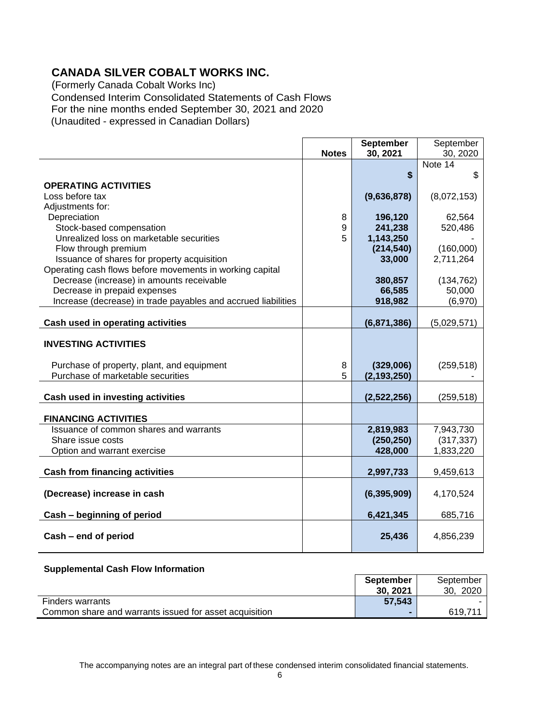(Formerly Canada Cobalt Works Inc) Condensed Interim Consolidated Statements of Cash Flows For the nine months ended September 30, 2021 and 2020 (Unaudited - expressed in Canadian Dollars)

|                                                               |              | <b>September</b> | September   |
|---------------------------------------------------------------|--------------|------------------|-------------|
|                                                               | <b>Notes</b> | 30, 2021         | 30, 2020    |
|                                                               |              |                  | Note 14     |
|                                                               |              | \$               | \$          |
| <b>OPERATING ACTIVITIES</b>                                   |              |                  |             |
| Loss before tax                                               |              | (9,636,878)      | (8,072,153) |
| Adjustments for:                                              |              |                  |             |
| Depreciation                                                  | 8            | 196,120          | 62,564      |
| Stock-based compensation                                      | 9            | 241,238          | 520,486     |
| Unrealized loss on marketable securities                      | 5            | 1,143,250        |             |
| Flow through premium                                          |              | (214, 540)       | (160,000)   |
| Issuance of shares for property acquisition                   |              | 33,000           | 2,711,264   |
| Operating cash flows before movements in working capital      |              |                  |             |
| Decrease (increase) in amounts receivable                     |              | 380,857          | (134, 762)  |
| Decrease in prepaid expenses                                  |              | 66,585           | 50,000      |
| Increase (decrease) in trade payables and accrued liabilities |              | 918,982          | (6,970)     |
|                                                               |              |                  |             |
| Cash used in operating activities                             |              | (6,871,386)      | (5,029,571) |
| <b>INVESTING ACTIVITIES</b>                                   |              |                  |             |
| Purchase of property, plant, and equipment                    | 8            | (329,006)        | (259, 518)  |
| Purchase of marketable securities                             | 5            | (2, 193, 250)    |             |
| Cash used in investing activities                             |              | (2,522,256)      | (259, 518)  |
| <b>FINANCING ACTIVITIES</b>                                   |              |                  |             |
| Issuance of common shares and warrants                        |              | 2,819,983        | 7,943,730   |
| Share issue costs                                             |              | (250, 250)       | (317, 337)  |
| Option and warrant exercise                                   |              | 428,000          | 1,833,220   |
| <b>Cash from financing activities</b>                         |              | 2,997,733        | 9,459,613   |
| (Decrease) increase in cash                                   |              | (6, 395, 909)    | 4,170,524   |
| Cash - beginning of period                                    |              | 6,421,345        | 685,716     |
| Cash - end of period                                          |              | 25,436           | 4,856,239   |

#### **Supplemental Cash Flow Information**

|                                                        | <b>September</b><br>30.2021 | September<br>2020<br>30. |
|--------------------------------------------------------|-----------------------------|--------------------------|
| <b>Finders warrants</b>                                | 57,543                      |                          |
| Common share and warrants issued for asset acquisition |                             | 619.711                  |

The accompanying notes are an integral part of these condensed interim consolidated financial statements.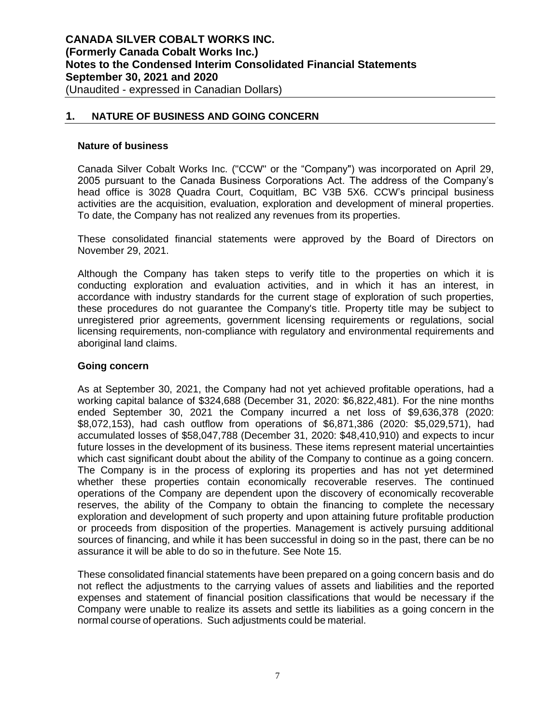### **1. NATURE OF BUSINESS AND GOING CONCERN**

#### **Nature of business**

Canada Silver Cobalt Works Inc. ("CCW" or the "Company") was incorporated on April 29, 2005 pursuant to the Canada Business Corporations Act. The address of the Company's head office is 3028 Quadra Court, Coquitlam, BC V3B 5X6. CCW's principal business activities are the acquisition, evaluation, exploration and development of mineral properties. To date, the Company has not realized any revenues from its properties.

These consolidated financial statements were approved by the Board of Directors on November 29, 2021.

Although the Company has taken steps to verify title to the properties on which it is conducting exploration and evaluation activities, and in which it has an interest, in accordance with industry standards for the current stage of exploration of such properties, these procedures do not guarantee the Company's title. Property title may be subject to unregistered prior agreements, government licensing requirements or regulations, social licensing requirements, non-compliance with regulatory and environmental requirements and aboriginal land claims.

#### **Going concern**

As at September 30, 2021, the Company had not yet achieved profitable operations, had a working capital balance of \$324,688 (December 31, 2020: \$6,822,481). For the nine months ended September 30, 2021 the Company incurred a net loss of \$9,636,378 (2020: \$8,072,153), had cash outflow from operations of \$6,871,386 (2020: \$5,029,571), had accumulated losses of \$58,047,788 (December 31, 2020: \$48,410,910) and expects to incur future losses in the development of its business. These items represent material uncertainties which cast significant doubt about the ability of the Company to continue as a going concern. The Company is in the process of exploring its properties and has not yet determined whether these properties contain economically recoverable reserves. The continued operations of the Company are dependent upon the discovery of economically recoverable reserves, the ability of the Company to obtain the financing to complete the necessary exploration and development of such property and upon attaining future profitable production or proceeds from disposition of the properties. Management is actively pursuing additional sources of financing, and while it has been successful in doing so in the past, there can be no assurance it will be able to do so in thefuture. See Note 15.

These consolidated financial statements have been prepared on a going concern basis and do not reflect the adjustments to the carrying values of assets and liabilities and the reported expenses and statement of financial position classifications that would be necessary if the Company were unable to realize its assets and settle its liabilities as a going concern in the normal course of operations. Such adjustments could be material.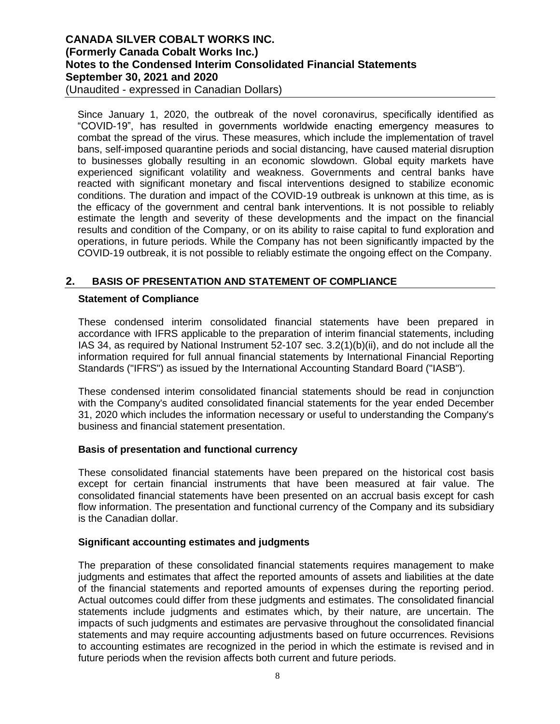(Unaudited - expressed in Canadian Dollars)

Since January 1, 2020, the outbreak of the novel coronavirus, specifically identified as "COVID-19", has resulted in governments worldwide enacting emergency measures to combat the spread of the virus. These measures, which include the implementation of travel bans, self-imposed quarantine periods and social distancing, have caused material disruption to businesses globally resulting in an economic slowdown. Global equity markets have experienced significant volatility and weakness. Governments and central banks have reacted with significant monetary and fiscal interventions designed to stabilize economic conditions. The duration and impact of the COVID-19 outbreak is unknown at this time, as is the efficacy of the government and central bank interventions. It is not possible to reliably estimate the length and severity of these developments and the impact on the financial results and condition of the Company, or on its ability to raise capital to fund exploration and operations, in future periods. While the Company has not been significantly impacted by the COVID-19 outbreak, it is not possible to reliably estimate the ongoing effect on the Company.

### **2. BASIS OF PRESENTATION AND STATEMENT OF COMPLIANCE**

#### **Statement of Compliance**

These condensed interim consolidated financial statements have been prepared in accordance with IFRS applicable to the preparation of interim financial statements, including IAS 34, as required by National Instrument 52-107 sec. 3.2(1)(b)(ii), and do not include all the information required for full annual financial statements by International Financial Reporting Standards ("IFRS") as issued by the International Accounting Standard Board ("IASB").

These condensed interim consolidated financial statements should be read in conjunction with the Company's audited consolidated financial statements for the year ended December 31, 2020 which includes the information necessary or useful to understanding the Company's business and financial statement presentation.

#### **Basis of presentation and functional currency**

These consolidated financial statements have been prepared on the historical cost basis except for certain financial instruments that have been measured at fair value. The consolidated financial statements have been presented on an accrual basis except for cash flow information. The presentation and functional currency of the Company and its subsidiary is the Canadian dollar.

#### **Significant accounting estimates and judgments**

The preparation of these consolidated financial statements requires management to make judgments and estimates that affect the reported amounts of assets and liabilities at the date of the financial statements and reported amounts of expenses during the reporting period. Actual outcomes could differ from these judgments and estimates. The consolidated financial statements include judgments and estimates which, by their nature, are uncertain. The impacts of such judgments and estimates are pervasive throughout the consolidated financial statements and may require accounting adjustments based on future occurrences. Revisions to accounting estimates are recognized in the period in which the estimate is revised and in future periods when the revision affects both current and future periods.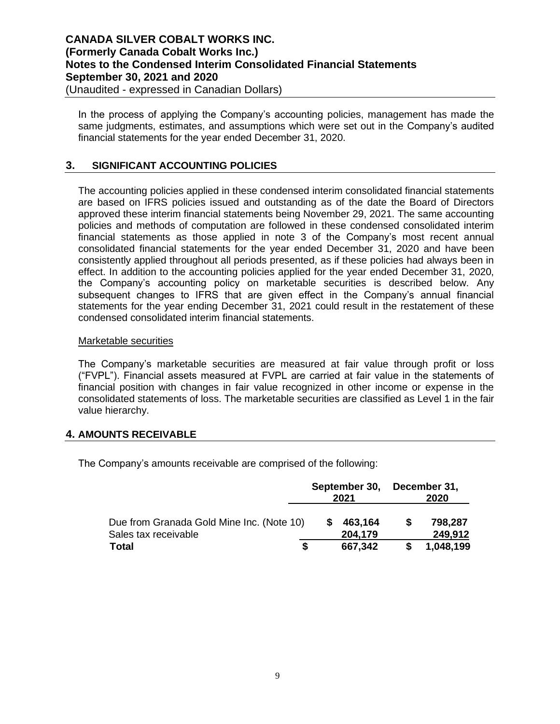In the process of applying the Company's accounting policies, management has made the same judgments, estimates, and assumptions which were set out in the Company's audited financial statements for the year ended December 31, 2020.

### **3. SIGNIFICANT ACCOUNTING POLICIES**

The accounting policies applied in these condensed interim consolidated financial statements are based on IFRS policies issued and outstanding as of the date the Board of Directors approved these interim financial statements being November 29, 2021. The same accounting policies and methods of computation are followed in these condensed consolidated interim financial statements as those applied in note 3 of the Company's most recent annual consolidated financial statements for the year ended December 31, 2020 and have been consistently applied throughout all periods presented, as if these policies had always been in effect. In addition to the accounting policies applied for the year ended December 31, 2020, the Company's accounting policy on marketable securities is described below. Any subsequent changes to IFRS that are given effect in the Company's annual financial statements for the year ending December 31, 2021 could result in the restatement of these condensed consolidated interim financial statements.

#### Marketable securities

The Company's marketable securities are measured at fair value through profit or loss ("FVPL"). Financial assets measured at FVPL are carried at fair value in the statements of financial position with changes in fair value recognized in other income or expense in the consolidated statements of loss. The marketable securities are classified as Level 1 in the fair value hierarchy.

### **4. AMOUNTS RECEIVABLE**

The Company's amounts receivable are comprised of the following:

|                                                                   | September 30,<br>2021 |                    | December 31,<br>2020 |                    |
|-------------------------------------------------------------------|-----------------------|--------------------|----------------------|--------------------|
| Due from Granada Gold Mine Inc. (Note 10)<br>Sales tax receivable |                       | 463,164<br>204.179 | S                    | 798,287<br>249,912 |
| <b>Total</b><br>S                                                 |                       | 667,342            |                      | 1,048,199          |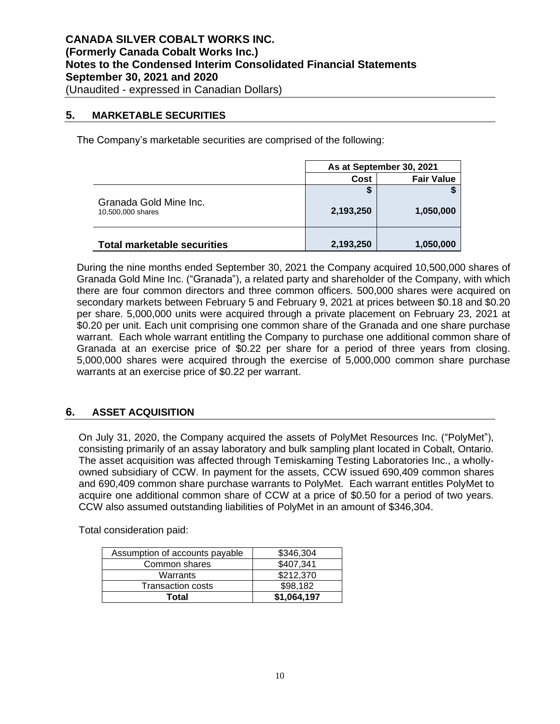### **5. MARKETABLE SECURITIES**

The Company's marketable securities are comprised of the following:

|                                             |           | As at September 30, 2021 |
|---------------------------------------------|-----------|--------------------------|
|                                             | Cost      | <b>Fair Value</b>        |
|                                             | ъ         |                          |
| Granada Gold Mine Inc.<br>10,500,000 shares | 2,193,250 | 1,050,000                |
| <b>Total marketable securities</b>          | 2,193,250 | 1,050,000                |

During the nine months ended September 30, 2021 the Company acquired 10,500,000 shares of Granada Gold Mine Inc. ("Granada"), a related party and shareholder of the Company, with which there are four common directors and three common officers. 500,000 shares were acquired on secondary markets between February 5 and February 9, 2021 at prices between \$0.18 and \$0.20 per share. 5,000,000 units were acquired through a private placement on February 23, 2021 at \$0.20 per unit. Each unit comprising one common share of the Granada and one share purchase warrant. Each whole warrant entitling the Company to purchase one additional common share of Granada at an exercise price of \$0.22 per share for a period of three years from closing. 5,000,000 shares were acquired through the exercise of 5,000,000 common share purchase warrants at an exercise price of \$0.22 per warrant.

## **6. ASSET ACQUISITION**

On July 31, 2020, the Company acquired the assets of PolyMet Resources Inc. ("PolyMet"), consisting primarily of an assay laboratory and bulk sampling plant located in Cobalt, Ontario. The asset acquisition was affected through Temiskaming Testing Laboratories Inc., a whollyowned subsidiary of CCW. In payment for the assets, CCW issued 690,409 common shares and 690,409 common share purchase warrants to PolyMet. Each warrant entitles PolyMet to acquire one additional common share of CCW at a price of \$0.50 for a period of two years. CCW also assumed outstanding liabilities of PolyMet in an amount of \$346,304.

Total consideration paid:

| Assumption of accounts payable | \$346,304   |
|--------------------------------|-------------|
| Common shares                  | \$407,341   |
| Warrants                       | \$212,370   |
| Transaction costs              | \$98,182    |
| Total                          | \$1,064,197 |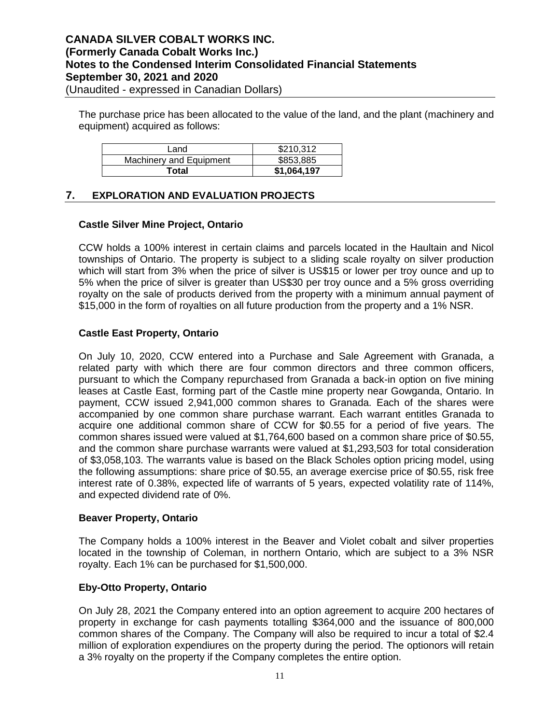The purchase price has been allocated to the value of the land, and the plant (machinery and equipment) acquired as follows:

| Land                    | \$210,312   |
|-------------------------|-------------|
| Machinery and Equipment | \$853,885   |
| Total                   | \$1,064,197 |

### **7. EXPLORATION AND EVALUATION PROJECTS**

#### **Castle Silver Mine Project, Ontario**

CCW holds a 100% interest in certain claims and parcels located in the Haultain and Nicol townships of Ontario. The property is subject to a sliding scale royalty on silver production which will start from 3% when the price of silver is US\$15 or lower per troy ounce and up to 5% when the price of silver is greater than US\$30 per troy ounce and a 5% gross overriding royalty on the sale of products derived from the property with a minimum annual payment of \$15,000 in the form of royalties on all future production from the property and a 1% NSR.

#### **Castle East Property, Ontario**

On July 10, 2020, CCW entered into a Purchase and Sale Agreement with Granada, a related party with which there are four common directors and three common officers, pursuant to which the Company repurchased from Granada a back-in option on five mining leases at Castle East, forming part of the Castle mine property near Gowganda, Ontario. In payment, CCW issued 2,941,000 common shares to Granada. Each of the shares were accompanied by one common share purchase warrant. Each warrant entitles Granada to acquire one additional common share of CCW for \$0.55 for a period of five years. The common shares issued were valued at \$1,764,600 based on a common share price of \$0.55, and the common share purchase warrants were valued at \$1,293,503 for total consideration of \$3,058,103. The warrants value is based on the Black Scholes option pricing model, using the following assumptions: share price of \$0.55, an average exercise price of \$0.55, risk free interest rate of 0.38%, expected life of warrants of 5 years, expected volatility rate of 114%, and expected dividend rate of 0%.

#### **Beaver Property, Ontario**

The Company holds a 100% interest in the Beaver and Violet cobalt and silver properties located in the township of Coleman, in northern Ontario, which are subject to a 3% NSR royalty. Each 1% can be purchased for \$1,500,000.

### **Eby-Otto Property, Ontario**

On July 28, 2021 the Company entered into an option agreement to acquire 200 hectares of property in exchange for cash payments totalling \$364,000 and the issuance of 800,000 common shares of the Company. The Company will also be required to incur a total of \$2.4 million of exploration expendiures on the property during the period. The optionors will retain a 3% royalty on the property if the Company completes the entire option.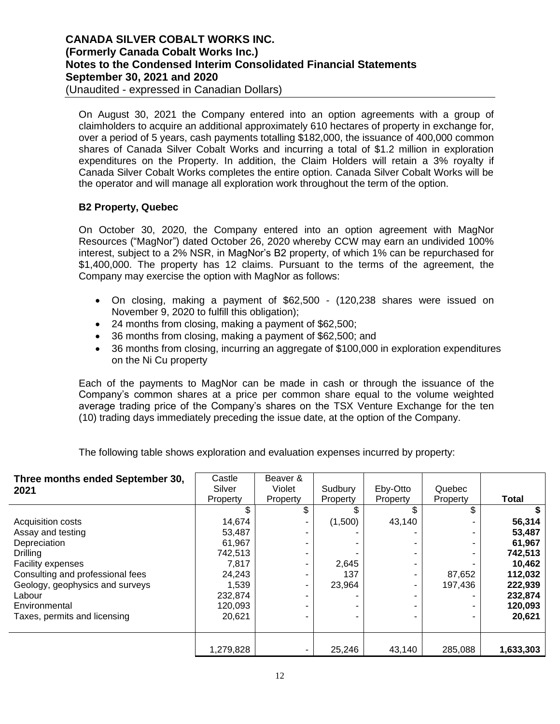On August 30, 2021 the Company entered into an option agreements with a group of claimholders to acquire an additional approximately 610 hectares of property in exchange for, over a period of 5 years, cash payments totalling \$182,000, the issuance of 400,000 common shares of Canada Silver Cobalt Works and incurring a total of \$1.2 million in exploration expenditures on the Property. In addition, the Claim Holders will retain a 3% royalty if Canada Silver Cobalt Works completes the entire option. Canada Silver Cobalt Works will be the operator and will manage all exploration work throughout the term of the option.

## **B2 Property, Quebec**

On October 30, 2020, the Company entered into an option agreement with MagNor Resources ("MagNor") dated October 26, 2020 whereby CCW may earn an undivided 100% interest, subject to a 2% NSR, in MagNor's B2 property, of which 1% can be repurchased for \$1,400,000. The property has 12 claims. Pursuant to the terms of the agreement, the Company may exercise the option with MagNor as follows:

- On closing, making a payment of \$62,500 (120,238 shares were issued on November 9, 2020 to fulfill this obligation);
- 24 months from closing, making a payment of \$62,500;
- 36 months from closing, making a payment of \$62,500; and
- 36 months from closing, incurring an aggregate of \$100,000 in exploration expenditures on the Ni Cu property

Each of the payments to MagNor can be made in cash or through the issuance of the Company's common shares at a price per common share equal to the volume weighted average trading price of the Company's shares on the TSX Venture Exchange for the ten (10) trading days immediately preceding the issue date, at the option of the Company.

The following table shows exploration and evaluation expenses incurred by property:

| Three months ended September 30, | Castle    | Beaver & |          |          |          |              |
|----------------------------------|-----------|----------|----------|----------|----------|--------------|
| 2021                             | Silver    | Violet   | Sudbury  | Eby-Otto | Quebec   |              |
|                                  | Property  | Property | Property | Property | Property | <b>Total</b> |
|                                  | \$        | \$       | \$       | S        |          |              |
| Acquisition costs                | 14,674    |          | (1,500)  | 43,140   |          | 56,314       |
| Assay and testing                | 53.487    |          |          |          |          | 53,487       |
| Depreciation                     | 61,967    |          |          |          |          | 61,967       |
| <b>Drilling</b>                  | 742,513   |          |          |          |          | 742,513      |
| <b>Facility expenses</b>         | 7,817     |          | 2,645    |          |          | 10,462       |
| Consulting and professional fees | 24,243    |          | 137      |          | 87,652   | 112,032      |
| Geology, geophysics and surveys  | 1,539     |          | 23,964   |          | 197.436  | 222,939      |
| Labour                           | 232,874   |          |          |          |          | 232,874      |
| Environmental                    | 120,093   |          |          |          |          | 120,093      |
| Taxes, permits and licensing     | 20,621    |          |          |          |          | 20,621       |
|                                  |           |          |          |          |          |              |
|                                  | 1,279,828 |          | 25,246   | 43,140   | 285,088  | 1,633,303    |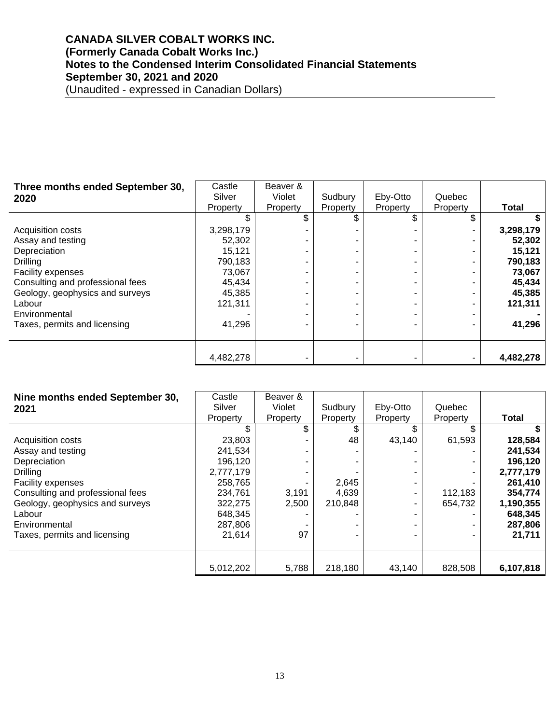| Three months ended September 30, | Castle    | Beaver & |          |          |          |              |
|----------------------------------|-----------|----------|----------|----------|----------|--------------|
| 2020                             | Silver    | Violet   | Sudbury  | Eby-Otto | Quebec   |              |
|                                  | Property  | Property | Property | Property | Property | <b>Total</b> |
|                                  |           | \$.      |          | \$       |          |              |
| Acquisition costs                | 3,298,179 |          |          |          |          | 3,298,179    |
| Assay and testing                | 52,302    |          |          |          |          | 52,302       |
| Depreciation                     | 15,121    |          |          |          |          | 15,121       |
| Drilling                         | 790,183   |          |          |          |          | 790,183      |
| <b>Facility expenses</b>         | 73,067    |          |          |          |          | 73,067       |
| Consulting and professional fees | 45,434    |          |          |          |          | 45,434       |
| Geology, geophysics and surveys  | 45,385    |          |          |          |          | 45,385       |
| Labour                           | 121,311   |          |          |          |          | 121,311      |
| Environmental                    |           |          |          |          |          |              |
| Taxes, permits and licensing     | 41,296    |          |          |          |          | 41,296       |
|                                  |           |          |          |          |          |              |
|                                  | 4,482,278 |          |          |          |          | 4,482,278    |

| Nine months ended September 30,<br>2021 | Castle<br>Silver<br>Property | Beaver &<br>Violet<br>Property | Sudbury<br>Property | Eby-Otto<br>Property | Quebec<br>Property | Total     |
|-----------------------------------------|------------------------------|--------------------------------|---------------------|----------------------|--------------------|-----------|
|                                         |                              | \$                             |                     | \$                   |                    |           |
| Acquisition costs                       | 23,803                       |                                | 48                  | 43,140               | 61,593             | 128,584   |
| Assay and testing                       | 241,534                      |                                |                     |                      |                    | 241,534   |
| Depreciation                            | 196,120                      |                                |                     |                      |                    | 196,120   |
| Drilling                                | 2,777,179                    |                                |                     |                      |                    | 2,777,179 |
| Facility expenses                       | 258,765                      |                                | 2,645               |                      |                    | 261,410   |
| Consulting and professional fees        | 234,761                      | 3,191                          | 4,639               |                      | 112,183            | 354,774   |
| Geology, geophysics and surveys         | 322,275                      | 2,500                          | 210.848             |                      | 654.732            | 1,190,355 |
| Labour                                  | 648,345                      |                                |                     |                      |                    | 648,345   |
| Environmental                           | 287,806                      |                                |                     |                      |                    | 287,806   |
| Taxes, permits and licensing            | 21,614                       | 97                             |                     |                      |                    | 21,711    |
|                                         |                              |                                |                     |                      |                    |           |
|                                         |                              |                                |                     |                      |                    |           |
|                                         | 5,012,202                    | 5,788                          | 218,180             | 43,140               | 828,508            | 6,107,818 |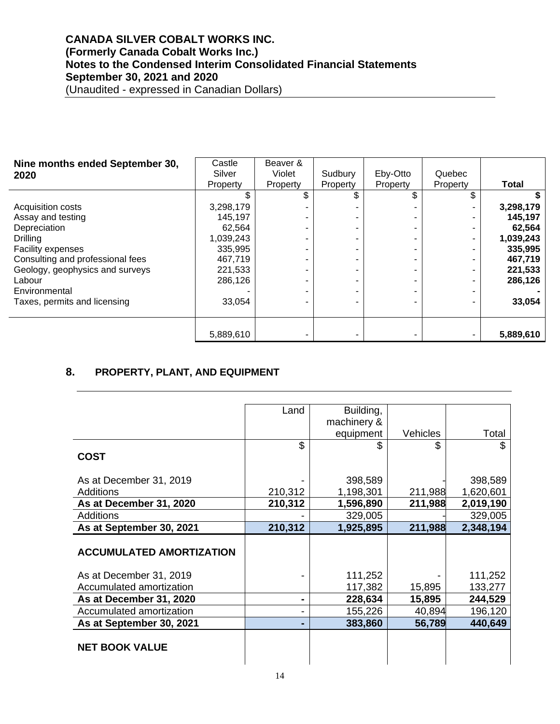| Nine months ended September 30,  | Castle    | Beaver & |                |          |          |              |
|----------------------------------|-----------|----------|----------------|----------|----------|--------------|
| 2020                             | Silver    | Violet   | Sudbury        | Eby-Otto | Quebec   |              |
|                                  | Property  | Property | Property       | Property | Property | <b>Total</b> |
|                                  |           | \$       | \$             | \$       |          |              |
| Acquisition costs                | 3,298,179 |          |                |          |          | 3,298,179    |
| Assay and testing                | 145,197   |          |                |          |          | 145,197      |
| Depreciation                     | 62.564    |          |                |          |          | 62,564       |
| Drilling                         | 1,039,243 |          | -              |          |          | 1,039,243    |
| Facility expenses                | 335,995   |          |                |          |          | 335,995      |
| Consulting and professional fees | 467,719   |          | -              |          |          | 467,719      |
| Geology, geophysics and surveys  | 221,533   |          | ۰              |          |          | 221,533      |
| Labour                           | 286,126   |          | $\blacksquare$ |          |          | 286,126      |
| Environmental                    |           |          | $\blacksquare$ |          |          |              |
| Taxes, permits and licensing     | 33,054    |          |                |          |          | 33,054       |
|                                  |           |          |                |          |          |              |
|                                  |           |          |                |          |          |              |
|                                  | 5,889,610 |          |                |          |          | 5,889,610    |

# **8. PROPERTY, PLANT, AND EQUIPMENT**

|                                 | Land    | Building,   |                 |           |
|---------------------------------|---------|-------------|-----------------|-----------|
|                                 |         | machinery & |                 |           |
|                                 |         | equipment   | <b>Vehicles</b> | Total     |
|                                 | \$      |             | \$              | \$        |
| <b>COST</b>                     |         |             |                 |           |
|                                 |         |             |                 |           |
| As at December 31, 2019         |         | 398,589     |                 | 398,589   |
| Additions                       | 210,312 | 1,198,301   | 211,988         | 1,620,601 |
| As at December 31, 2020         | 210,312 | 1,596,890   | 211,988         | 2,019,190 |
| <b>Additions</b>                |         | 329,005     |                 | 329,005   |
| As at September 30, 2021        | 210,312 | 1,925,895   | 211,988         | 2,348,194 |
|                                 |         |             |                 |           |
| <b>ACCUMULATED AMORTIZATION</b> |         |             |                 |           |
|                                 |         |             |                 |           |
| As at December 31, 2019         |         | 111,252     |                 | 111,252   |
| Accumulated amortization        |         | 117,382     | 15,895          | 133,277   |
| As at December 31, 2020         |         | 228,634     | 15,895          | 244,529   |
| Accumulated amortization        |         | 155,226     | 40,894          | 196,120   |
| As at September 30, 2021        |         | 383,860     | 56,789          | 440,649   |
|                                 |         |             |                 |           |
| <b>NET BOOK VALUE</b>           |         |             |                 |           |
|                                 |         |             |                 |           |
|                                 |         |             |                 |           |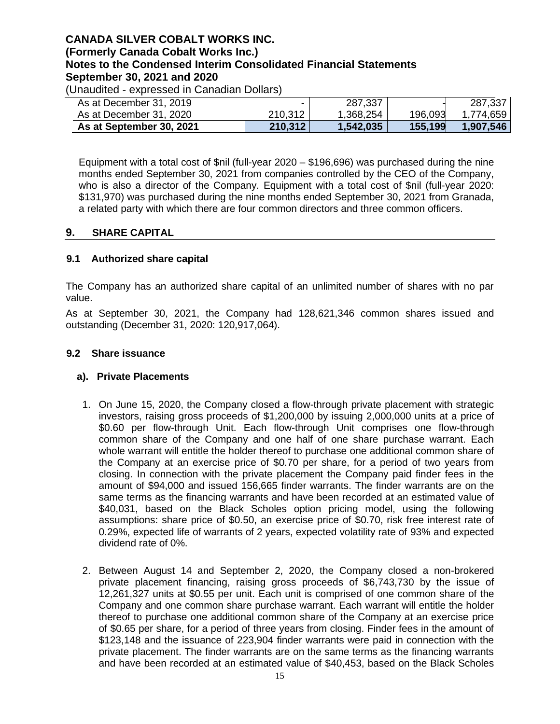(Unaudited - expressed in Canadian Dollars)

| As at December 31, 2019  |         | 287,337   |         | 287,337   |
|--------------------------|---------|-----------|---------|-----------|
| As at December 31, 2020  | 210,312 | 1,368,254 | 196,093 | 1,774,659 |
| As at September 30, 2021 | 210,312 | 1,542,035 | 155,199 | 1.907.546 |

Equipment with a total cost of \$nil (full-year 2020 – \$196,696) was purchased during the nine months ended September 30, 2021 from companies controlled by the CEO of the Company, who is also a director of the Company. Equipment with a total cost of \$nil (full-year 2020: \$131,970) was purchased during the nine months ended September 30, 2021 from Granada, a related party with which there are four common directors and three common officers.

### **9. SHARE CAPITAL**

### **9.1 Authorized share capital**

The Company has an authorized share capital of an unlimited number of shares with no par value.

As at September 30, 2021, the Company had 128,621,346 common shares issued and outstanding (December 31, 2020: 120,917,064).

#### **9.2 Share issuance**

#### **a). Private Placements**

- 1. On June 15, 2020, the Company closed a flow-through private placement with strategic investors, raising gross proceeds of \$1,200,000 by issuing 2,000,000 units at a price of \$0.60 per flow-through Unit. Each flow-through Unit comprises one flow-through common share of the Company and one half of one share purchase warrant. Each whole warrant will entitle the holder thereof to purchase one additional common share of the Company at an exercise price of \$0.70 per share, for a period of two years from closing. In connection with the private placement the Company paid finder fees in the amount of \$94,000 and issued 156,665 finder warrants. The finder warrants are on the same terms as the financing warrants and have been recorded at an estimated value of \$40,031, based on the Black Scholes option pricing model, using the following assumptions: share price of \$0.50, an exercise price of \$0.70, risk free interest rate of 0.29%, expected life of warrants of 2 years, expected volatility rate of 93% and expected dividend rate of 0%.
- 2. Between August 14 and September 2, 2020, the Company closed a non-brokered private placement financing, raising gross proceeds of \$6,743,730 by the issue of 12,261,327 units at \$0.55 per unit. Each unit is comprised of one common share of the Company and one common share purchase warrant. Each warrant will entitle the holder thereof to purchase one additional common share of the Company at an exercise price of \$0.65 per share, for a period of three years from closing. Finder fees in the amount of \$123,148 and the issuance of 223,904 finder warrants were paid in connection with the private placement. The finder warrants are on the same terms as the financing warrants and have been recorded at an estimated value of \$40,453, based on the Black Scholes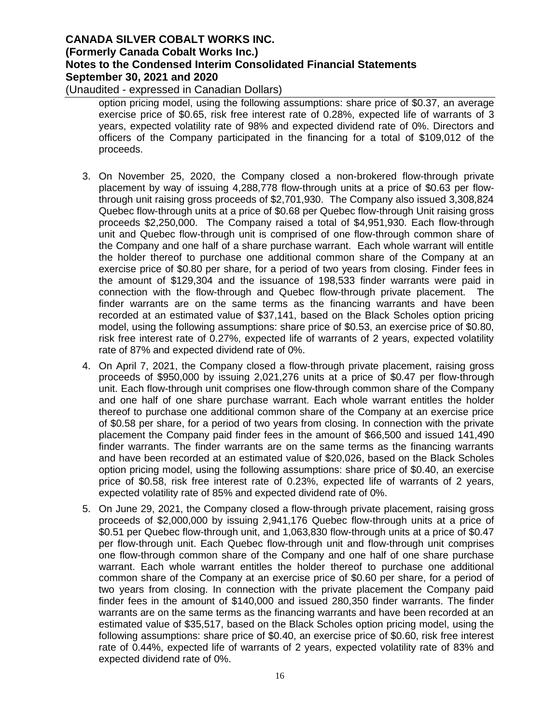(Unaudited - expressed in Canadian Dollars)

option pricing model, using the following assumptions: share price of \$0.37, an average exercise price of \$0.65, risk free interest rate of 0.28%, expected life of warrants of 3 years, expected volatility rate of 98% and expected dividend rate of 0%. Directors and officers of the Company participated in the financing for a total of \$109,012 of the proceeds.

- 3. On November 25, 2020, the Company closed a non-brokered flow-through private placement by way of issuing 4,288,778 flow-through units at a price of \$0.63 per flowthrough unit raising gross proceeds of \$2,701,930. The Company also issued 3,308,824 Quebec flow-through units at a price of \$0.68 per Quebec flow-through Unit raising gross proceeds \$2,250,000. The Company raised a total of \$4,951,930. Each flow-through unit and Quebec flow-through unit is comprised of one flow-through common share of the Company and one half of a share purchase warrant. Each whole warrant will entitle the holder thereof to purchase one additional common share of the Company at an exercise price of \$0.80 per share, for a period of two years from closing. Finder fees in the amount of \$129,304 and the issuance of 198,533 finder warrants were paid in connection with the flow-through and Quebec flow-through private placement. The finder warrants are on the same terms as the financing warrants and have been recorded at an estimated value of \$37,141, based on the Black Scholes option pricing model, using the following assumptions: share price of \$0.53, an exercise price of \$0.80, risk free interest rate of 0.27%, expected life of warrants of 2 years, expected volatility rate of 87% and expected dividend rate of 0%.
- 4. On April 7, 2021, the Company closed a flow-through private placement, raising gross proceeds of \$950,000 by issuing 2,021,276 units at a price of \$0.47 per flow-through unit. Each flow-through unit comprises one flow-through common share of the Company and one half of one share purchase warrant. Each whole warrant entitles the holder thereof to purchase one additional common share of the Company at an exercise price of \$0.58 per share, for a period of two years from closing. In connection with the private placement the Company paid finder fees in the amount of \$66,500 and issued 141,490 finder warrants. The finder warrants are on the same terms as the financing warrants and have been recorded at an estimated value of \$20,026, based on the Black Scholes option pricing model, using the following assumptions: share price of \$0.40, an exercise price of \$0.58, risk free interest rate of 0.23%, expected life of warrants of 2 years, expected volatility rate of 85% and expected dividend rate of 0%.
- 5. On June 29, 2021, the Company closed a flow-through private placement, raising gross proceeds of \$2,000,000 by issuing 2,941,176 Quebec flow-through units at a price of \$0.51 per Quebec flow-through unit, and 1,063,830 flow-through units at a price of \$0.47 per flow-through unit. Each Quebec flow-through unit and flow-through unit comprises one flow-through common share of the Company and one half of one share purchase warrant. Each whole warrant entitles the holder thereof to purchase one additional common share of the Company at an exercise price of \$0.60 per share, for a period of two years from closing. In connection with the private placement the Company paid finder fees in the amount of \$140,000 and issued 280,350 finder warrants. The finder warrants are on the same terms as the financing warrants and have been recorded at an estimated value of \$35,517, based on the Black Scholes option pricing model, using the following assumptions: share price of \$0.40, an exercise price of \$0.60, risk free interest rate of 0.44%, expected life of warrants of 2 years, expected volatility rate of 83% and expected dividend rate of 0%.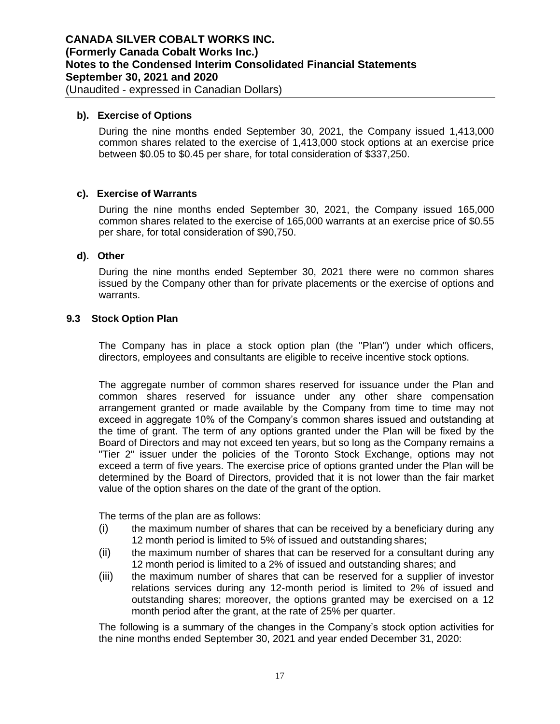#### **b). Exercise of Options**

During the nine months ended September 30, 2021, the Company issued 1,413,000 common shares related to the exercise of 1,413,000 stock options at an exercise price between \$0.05 to \$0.45 per share, for total consideration of \$337,250.

#### **c). Exercise of Warrants**

During the nine months ended September 30, 2021, the Company issued 165,000 common shares related to the exercise of 165,000 warrants at an exercise price of \$0.55 per share, for total consideration of \$90,750.

### **d). Other**

During the nine months ended September 30, 2021 there were no common shares issued by the Company other than for private placements or the exercise of options and warrants.

#### **9.3 Stock Option Plan**

The Company has in place a stock option plan (the "Plan") under which officers, directors, employees and consultants are eligible to receive incentive stock options.

The aggregate number of common shares reserved for issuance under the Plan and common shares reserved for issuance under any other share compensation arrangement granted or made available by the Company from time to time may not exceed in aggregate 10% of the Company's common shares issued and outstanding at the time of grant. The term of any options granted under the Plan will be fixed by the Board of Directors and may not exceed ten years, but so long as the Company remains a "Tier 2" issuer under the policies of the Toronto Stock Exchange, options may not exceed a term of five years. The exercise price of options granted under the Plan will be determined by the Board of Directors, provided that it is not lower than the fair market value of the option shares on the date of the grant of the option.

The terms of the plan are as follows:

- (i) the maximum number of shares that can be received by a beneficiary during any 12 month period is limited to 5% of issued and outstanding shares;
- (ii) the maximum number of shares that can be reserved for a consultant during any 12 month period is limited to a 2% of issued and outstanding shares; and
- (iii) the maximum number of shares that can be reserved for a supplier of investor relations services during any 12-month period is limited to 2% of issued and outstanding shares; moreover, the options granted may be exercised on a 12 month period after the grant, at the rate of 25% per quarter.

The following is a summary of the changes in the Company's stock option activities for the nine months ended September 30, 2021 and year ended December 31, 2020: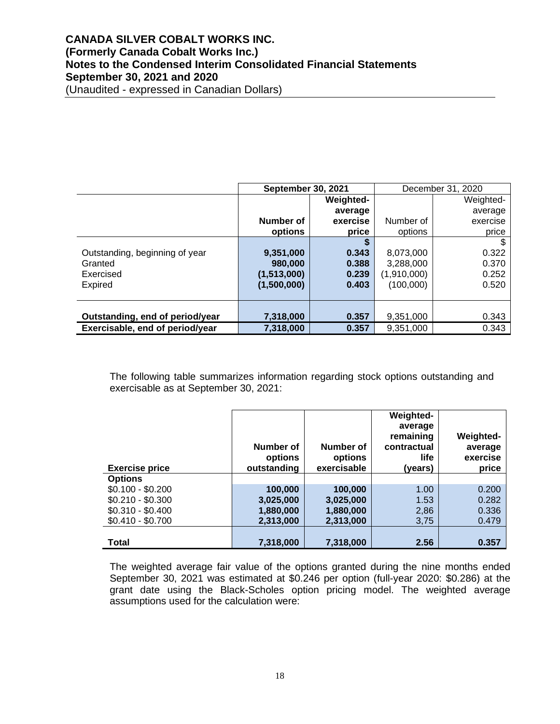|                                 | <b>September 30, 2021</b> |                  | December 31, 2020 |           |
|---------------------------------|---------------------------|------------------|-------------------|-----------|
|                                 |                           | <b>Weighted-</b> |                   | Weighted- |
|                                 |                           | average          |                   | average   |
|                                 | Number of                 | exercise         | Number of         | exercise  |
|                                 | options                   | price            | options           | price     |
|                                 |                           | S                |                   |           |
| Outstanding, beginning of year  | 9,351,000                 | 0.343            | 8,073,000         | 0.322     |
| Granted                         | 980,000                   | 0.388            | 3,288,000         | 0.370     |
| Exercised                       | (1,513,000)               | 0.239            | (1,910,000)       | 0.252     |
| <b>Expired</b>                  | (1,500,000)               | 0.403            | (100,000)         | 0.520     |
|                                 |                           |                  |                   |           |
|                                 |                           |                  |                   |           |
| Outstanding, end of period/year | 7,318,000                 | 0.357            | 9,351,000         | 0.343     |
| Exercisable, end of period/year | 7,318,000                 | 0.357            | 9,351,000         | 0.343     |

The following table summarizes information regarding stock options outstanding and exercisable as at September 30, 2021:

| <b>Exercise price</b>                                                                              | Number of<br>options<br>outstanding            | Number of<br>options<br>exercisable            | <b>Weighted-</b><br>average<br>remaining<br>contractual<br>life<br>(vears) | <b>Weighted-</b><br>average<br>exercise<br>price |
|----------------------------------------------------------------------------------------------------|------------------------------------------------|------------------------------------------------|----------------------------------------------------------------------------|--------------------------------------------------|
| <b>Options</b><br>$$0.100 - $0.200$<br>$$0.210 - $0.300$<br>$$0.310 - $0.400$<br>$$0.410 - $0.700$ | 100,000<br>3,025,000<br>1,880,000<br>2,313,000 | 100,000<br>3,025,000<br>1,880,000<br>2,313,000 | 1.00<br>1.53<br>2,86<br>3,75                                               | 0.200<br>0.282<br>0.336<br>0.479                 |
| <b>Total</b>                                                                                       | 7,318,000                                      | 7,318,000                                      | 2.56                                                                       | 0.357                                            |

The weighted average fair value of the options granted during the nine months ended September 30, 2021 was estimated at \$0.246 per option (full-year 2020: \$0.286) at the grant date using the Black-Scholes option pricing model. The weighted average assumptions used for the calculation were: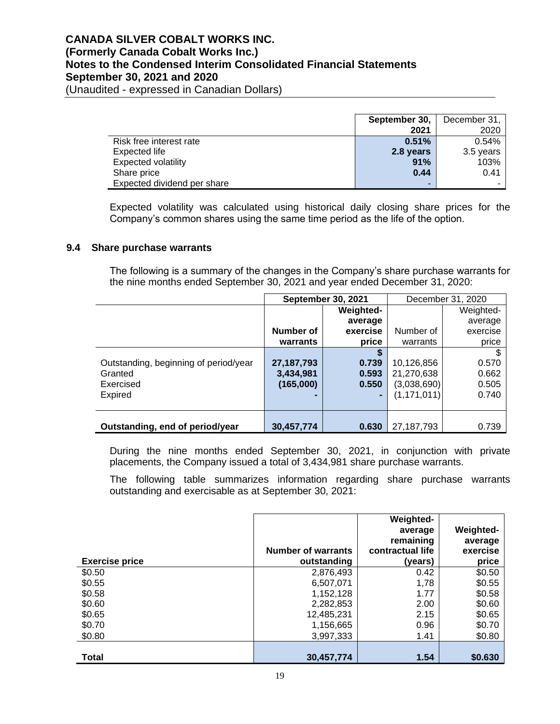(Unaudited - expressed in Canadian Dollars)

|                             | September 30,            | December 31, |
|-----------------------------|--------------------------|--------------|
|                             | 2021                     | 2020         |
| Risk free interest rate     | 0.51%                    | 0.54%        |
| Expected life               | 2.8 years                | 3.5 years    |
| <b>Expected volatility</b>  | 91%                      | 103%         |
| Share price                 | 0.44                     | 0.41         |
| Expected dividend per share | $\overline{\phantom{a}}$ |              |

Expected volatility was calculated using historical daily closing share prices for the Company's common shares using the same time period as the life of the option.

### **9.4 Share purchase warrants**

The following is a summary of the changes in the Company's share purchase warrants for the nine months ended September 30, 2021 and year ended December 31, 2020:

|                                       | <b>September 30, 2021</b> |                  |               | December 31, 2020 |
|---------------------------------------|---------------------------|------------------|---------------|-------------------|
|                                       |                           | <b>Weighted-</b> |               | Weighted-         |
|                                       |                           | average          |               | average           |
|                                       | Number of                 | exercise         | Number of     | exercise          |
|                                       | warrants                  | price            | warrants      | price             |
|                                       |                           |                  |               |                   |
| Outstanding, beginning of period/year | 27, 187, 793              | 0.739            | 10,126,856    | 0.570             |
| Granted                               | 3,434,981                 | 0.593            | 21,270,638    | 0.662             |
| Exercised                             | (165,000)                 | 0.550            | (3,038,690)   | 0.505             |
| <b>Expired</b>                        |                           |                  | (1, 171, 011) | 0.740             |
|                                       |                           |                  |               |                   |
|                                       |                           |                  |               |                   |
| Outstanding, end of period/year       | 30,457,774                | 0.630            | 27,187,793    | 0.739             |

During the nine months ended September 30, 2021, in conjunction with private placements, the Company issued a total of 3,434,981 share purchase warrants.

The following table summarizes information regarding share purchase warrants outstanding and exercisable as at September 30, 2021:

|                       | <b>Number of warrants</b> | Weighted-<br>average<br>remaining<br>contractual life | <b>Weighted-</b><br>average<br>exercise |
|-----------------------|---------------------------|-------------------------------------------------------|-----------------------------------------|
| <b>Exercise price</b> | outstanding               | (vears)                                               | price                                   |
| \$0.50                | 2,876,493                 | 0.42                                                  | \$0.50                                  |
| \$0.55                | 6,507,071                 | 1,78                                                  | \$0.55                                  |
| \$0.58                | 1,152,128                 | 1.77                                                  | \$0.58                                  |
| \$0.60                | 2,282,853                 | 2.00                                                  | \$0.60                                  |
| \$0.65                | 12,485,231                | 2.15                                                  | \$0.65                                  |
| \$0.70                | 1,156,665                 | 0.96                                                  | \$0.70                                  |
| \$0.80                | 3,997,333                 | 1.41                                                  | \$0.80                                  |
|                       |                           |                                                       |                                         |
| <b>Total</b>          | 30,457,774                | 1.54                                                  | \$0.630                                 |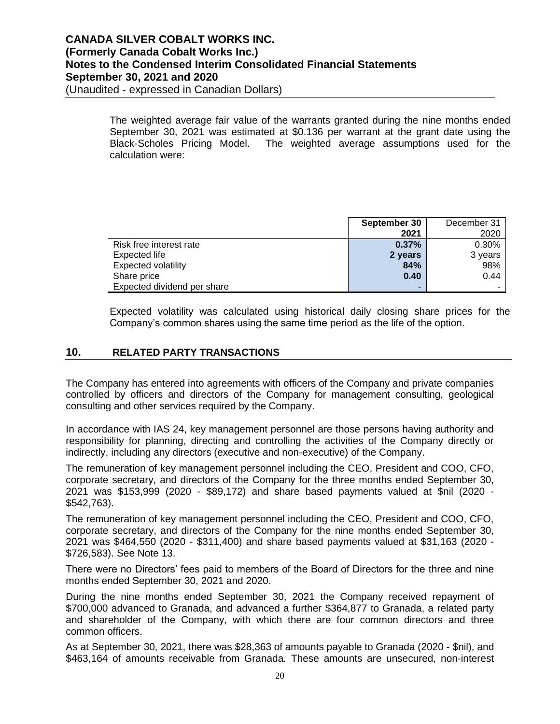The weighted average fair value of the warrants granted during the nine months ended September 30, 2021 was estimated at \$0.136 per warrant at the grant date using the Black-Scholes Pricing Model. The weighted average assumptions used for the calculation were:

|                             | September 30 | December 31 |
|-----------------------------|--------------|-------------|
|                             | 2021         | 2020        |
| Risk free interest rate     | 0.37%        | 0.30%       |
| Expected life               | 2 years      | 3 years     |
| <b>Expected volatility</b>  | 84%          | 98%         |
| Share price                 | 0.40         | 0.44        |
| Expected dividend per share | -            |             |

Expected volatility was calculated using historical daily closing share prices for the Company's common shares using the same time period as the life of the option.

### **10. RELATED PARTY TRANSACTIONS**

The Company has entered into agreements with officers of the Company and private companies controlled by officers and directors of the Company for management consulting, geological consulting and other services required by the Company.

In accordance with IAS 24, key management personnel are those persons having authority and responsibility for planning, directing and controlling the activities of the Company directly or indirectly, including any directors (executive and non-executive) of the Company.

The remuneration of key management personnel including the CEO, President and COO, CFO, corporate secretary, and directors of the Company for the three months ended September 30, 2021 was \$153,999 (2020 - \$89,172) and share based payments valued at \$nil (2020 - \$542,763).

The remuneration of key management personnel including the CEO, President and COO, CFO, corporate secretary, and directors of the Company for the nine months ended September 30, 2021 was \$464,550 (2020 - \$311,400) and share based payments valued at \$31,163 (2020 - \$726,583). See Note 13.

There were no Directors' fees paid to members of the Board of Directors for the three and nine months ended September 30, 2021 and 2020.

During the nine months ended September 30, 2021 the Company received repayment of \$700,000 advanced to Granada, and advanced a further \$364,877 to Granada, a related party and shareholder of the Company, with which there are four common directors and three common officers.

As at September 30, 2021, there was \$28,363 of amounts payable to Granada (2020 - \$nil), and \$463,164 of amounts receivable from Granada. These amounts are unsecured, non-interest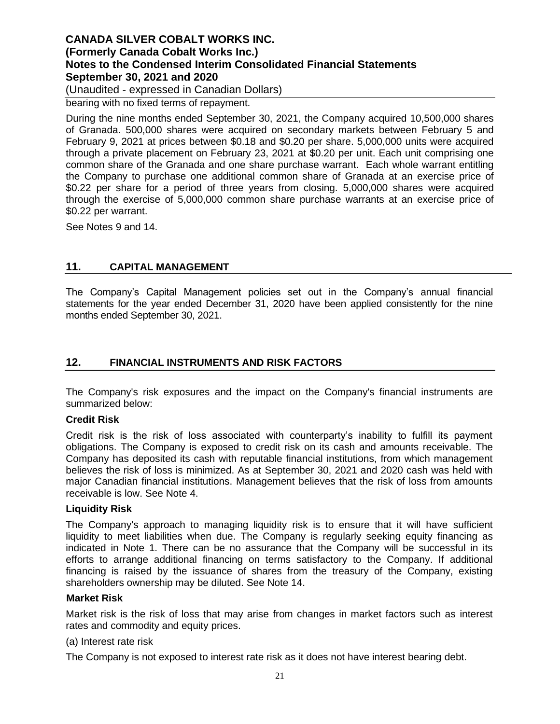(Unaudited - expressed in Canadian Dollars)

bearing with no fixed terms of repayment.

During the nine months ended September 30, 2021, the Company acquired 10,500,000 shares of Granada. 500,000 shares were acquired on secondary markets between February 5 and February 9, 2021 at prices between \$0.18 and \$0.20 per share. 5,000,000 units were acquired through a private placement on February 23, 2021 at \$0.20 per unit. Each unit comprising one common share of the Granada and one share purchase warrant. Each whole warrant entitling the Company to purchase one additional common share of Granada at an exercise price of \$0.22 per share for a period of three years from closing. 5,000,000 shares were acquired through the exercise of 5,000,000 common share purchase warrants at an exercise price of \$0.22 per warrant.

See Notes 9 and 14.

### **11. CAPITAL MANAGEMENT**

The Company's Capital Management policies set out in the Company's annual financial statements for the year ended December 31, 2020 have been applied consistently for the nine months ended September 30, 2021.

### **12. FINANCIAL INSTRUMENTS AND RISK FACTORS**

The Company's risk exposures and the impact on the Company's financial instruments are summarized below:

#### **Credit Risk**

Credit risk is the risk of loss associated with counterparty's inability to fulfill its payment obligations. The Company is exposed to credit risk on its cash and amounts receivable. The Company has deposited its cash with reputable financial institutions, from which management believes the risk of loss is minimized. As at September 30, 2021 and 2020 cash was held with major Canadian financial institutions. Management believes that the risk of loss from amounts receivable is low. See Note 4.

#### **Liquidity Risk**

The Company's approach to managing liquidity risk is to ensure that it will have sufficient liquidity to meet liabilities when due. The Company is regularly seeking equity financing as indicated in Note 1. There can be no assurance that the Company will be successful in its efforts to arrange additional financing on terms satisfactory to the Company. If additional financing is raised by the issuance of shares from the treasury of the Company, existing shareholders ownership may be diluted. See Note 14.

#### **Market Risk**

Market risk is the risk of loss that may arise from changes in market factors such as interest rates and commodity and equity prices.

#### (a) Interest rate risk

The Company is not exposed to interest rate risk as it does not have interest bearing debt.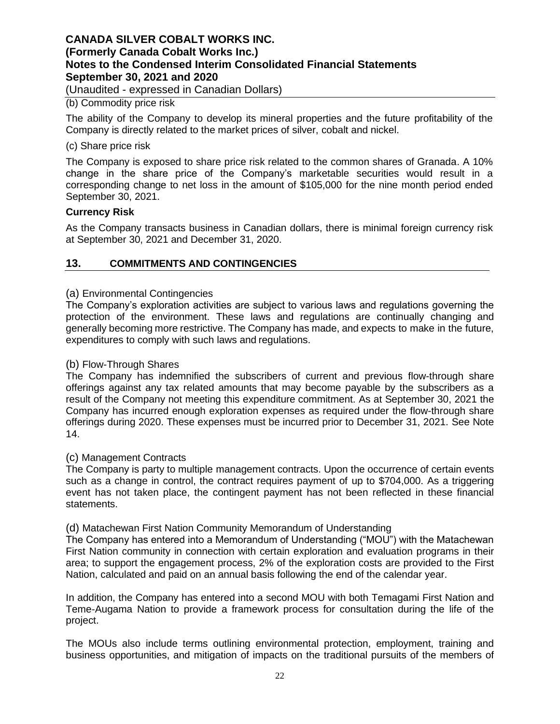(Unaudited - expressed in Canadian Dollars)

#### (b) Commodity price risk

The ability of the Company to develop its mineral properties and the future profitability of the Company is directly related to the market prices of silver, cobalt and nickel.

#### (c) Share price risk

The Company is exposed to share price risk related to the common shares of Granada. A 10% change in the share price of the Company's marketable securities would result in a corresponding change to net loss in the amount of \$105,000 for the nine month period ended September 30, 2021.

#### **Currency Risk**

As the Company transacts business in Canadian dollars, there is minimal foreign currency risk at September 30, 2021 and December 31, 2020.

#### **13. COMMITMENTS AND CONTINGENCIES**

### (a) Environmental Contingencies

The Company's exploration activities are subject to various laws and regulations governing the protection of the environment. These laws and regulations are continually changing and generally becoming more restrictive. The Company has made, and expects to make in the future, expenditures to comply with such laws and regulations.

#### (b) Flow-Through Shares

The Company has indemnified the subscribers of current and previous flow-through share offerings against any tax related amounts that may become payable by the subscribers as a result of the Company not meeting this expenditure commitment. As at September 30, 2021 the Company has incurred enough exploration expenses as required under the flow-through share offerings during 2020. These expenses must be incurred prior to December 31, 2021. See Note 14.

#### (c) Management Contracts

The Company is party to multiple management contracts. Upon the occurrence of certain events such as a change in control, the contract requires payment of up to \$704,000. As a triggering event has not taken place, the contingent payment has not been reflected in these financial statements.

#### (d) Matachewan First Nation Community Memorandum of Understanding

The Company has entered into a Memorandum of Understanding ("MOU") with the Matachewan First Nation community in connection with certain exploration and evaluation programs in their area; to support the engagement process, 2% of the exploration costs are provided to the First Nation, calculated and paid on an annual basis following the end of the calendar year.

In addition, the Company has entered into a second MOU with both Temagami First Nation and Teme-Augama Nation to provide a framework process for consultation during the life of the project.

The MOUs also include terms outlining environmental protection, employment, training and business opportunities, and mitigation of impacts on the traditional pursuits of the members of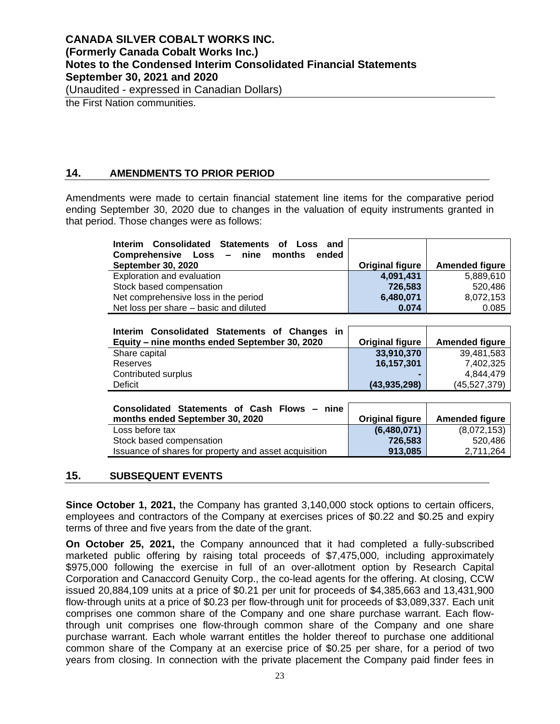(Unaudited - expressed in Canadian Dollars)

the First Nation communities.

### **14. AMENDMENTS TO PRIOR PERIOD**

Amendments were made to certain financial statement line items for the comparative period ending September 30, 2020 due to changes in the valuation of equity instruments granted in that period. Those changes were as follows:

| Interim Consolidated Statements of Loss and<br>Comprehensive Loss – nine months<br>ended |                        |                       |
|------------------------------------------------------------------------------------------|------------------------|-----------------------|
| <b>September 30, 2020</b>                                                                | <b>Original figure</b> | <b>Amended figure</b> |
| Exploration and evaluation                                                               | 4,091,431              | 5,889,610             |
| Stock based compensation                                                                 | 726,583                | 520.486               |
| Net comprehensive loss in the period                                                     | 6,480,071              | 8,072,153             |
| Net loss per share – basic and diluted                                                   | 0.074                  | 0.085                 |

| <b>Consolidated Statements of Changes</b><br>in<br><b>Interim</b><br>Equity – nine months ended September 30, 2020 | <b>Original figure</b> | <b>Amended figure</b> |
|--------------------------------------------------------------------------------------------------------------------|------------------------|-----------------------|
|                                                                                                                    |                        |                       |
| Share capital                                                                                                      | 33,910,370             | 39,481,583            |
| Reserves                                                                                                           | 16,157,301             | 7,402,325             |
| Contributed surplus                                                                                                |                        | 4.844.479             |
| Deficit                                                                                                            | (43, 935, 298)         | (45, 527, 379)        |

| Consolidated Statements of Cash Flows - nine          |                 |                       |
|-------------------------------------------------------|-----------------|-----------------------|
| months ended September 30, 2020                       | Original figure | <b>Amended figure</b> |
| Loss before tax                                       | (6,480,071)     | (8,072,153)           |
| Stock based compensation                              | 726.583         | 520.486               |
| Issuance of shares for property and asset acquisition | 913.085         | 2.711.264             |

### **15. SUBSEQUENT EVENTS**

**Since October 1, 2021,** the Company has granted 3,140,000 stock options to certain officers, employees and contractors of the Company at exercises prices of \$0.22 and \$0.25 and expiry terms of three and five years from the date of the grant.

**On October 25, 2021,** the Company announced that it had completed a fully-subscribed marketed public offering by raising total proceeds of \$7,475,000, including approximately \$975,000 following the exercise in full of an over-allotment option by Research Capital Corporation and Canaccord Genuity Corp., the co-lead agents for the offering. At closing, CCW issued 20,884,109 units at a price of \$0.21 per unit for proceeds of \$4,385,663 and 13,431,900 flow-through units at a price of \$0.23 per flow-through unit for proceeds of \$3,089,337. Each unit comprises one common share of the Company and one share purchase warrant. Each flowthrough unit comprises one flow-through common share of the Company and one share purchase warrant. Each whole warrant entitles the holder thereof to purchase one additional common share of the Company at an exercise price of \$0.25 per share, for a period of two years from closing. In connection with the private placement the Company paid finder fees in